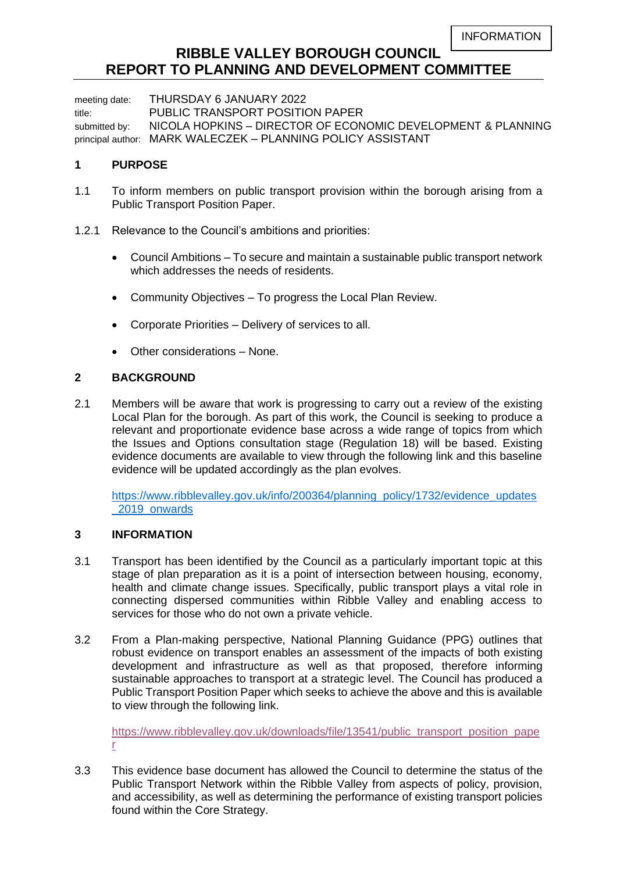# **RIBBLE VALLEY BOROUGH COUNCIL REPORT TO PLANNING AND DEVELOPMENT COMMITTEE**

meeting date: THURSDAY 6 JANUARY 2022 title: PUBLIC TRANSPORT POSITION PAPER submitted by: NICOLA HOPKINS - DIRECTOR OF ECONOMIC DEVELOPMENT & PLANNING principal author: MARK WALECZEK – PLANNING POLICY ASSISTANT

# **1 PURPOSE**

- 1.1 To inform members on public transport provision within the borough arising from a Public Transport Position Paper.
- 1.2.1 Relevance to the Council's ambitions and priorities:
	- Council Ambitions To secure and maintain a sustainable public transport network which addresses the needs of residents.
	- Community Objectives To progress the Local Plan Review.
	- Corporate Priorities Delivery of services to all.
	- Other considerations None.

# **2 BACKGROUND**

2.1 Members will be aware that work is progressing to carry out a review of the existing Local Plan for the borough. As part of this work, the Council is seeking to produce a relevant and proportionate evidence base across a wide range of topics from which the Issues and Options consultation stage (Regulation 18) will be based. Existing evidence documents are available to view through the following link and this baseline evidence will be updated accordingly as the plan evolves.

[https://www.ribblevalley.gov.uk/info/200364/planning\\_policy/1732/evidence\\_updates](https://www.ribblevalley.gov.uk/info/200364/planning_policy/1732/evidence_updates_2019_onwards) [\\_2019\\_onwards](https://www.ribblevalley.gov.uk/info/200364/planning_policy/1732/evidence_updates_2019_onwards)

# **3 INFORMATION**

- 3.1 Transport has been identified by the Council as a particularly important topic at this stage of plan preparation as it is a point of intersection between housing, economy, health and climate change issues. Specifically, public transport plays a vital role in connecting dispersed communities within Ribble Valley and enabling access to services for those who do not own a private vehicle.
- 3.2 From a Plan-making perspective, National Planning Guidance (PPG) outlines that robust evidence on transport enables an assessment of the impacts of both existing development and infrastructure as well as that proposed, therefore informing sustainable approaches to transport at a strategic level. The Council has produced a Public Transport Position Paper which seeks to achieve the above and this is available to view through the following link.

[https://www.ribblevalley.gov.uk/downloads/file/13541/public\\_transport\\_position\\_pape](https://www.ribblevalley.gov.uk/downloads/file/13541/public_transport_position_paper) [r](https://www.ribblevalley.gov.uk/downloads/file/13541/public_transport_position_paper)

3.3 This evidence base document has allowed the Council to determine the status of the Public Transport Network within the Ribble Valley from aspects of policy, provision, and accessibility, as well as determining the performance of existing transport policies found within the Core Strategy.